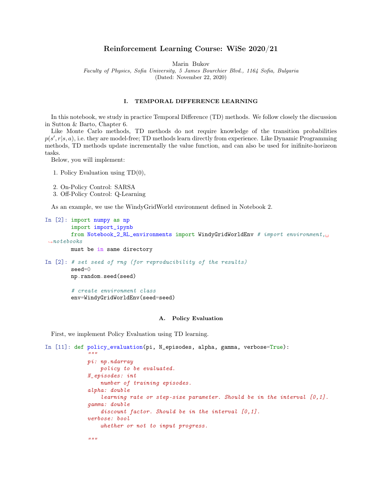# Reinforcement Learning Course: WiSe 2020/21

Marin Bukov

Faculty of Physics, Sofia University, 5 James Bourchier Blvd., 1164 Sofia, Bulgaria

(Dated: November 22, 2020)

## I. TEMPORAL DIFFERENCE LEARNING

In this notebook, we study in practice Temporal Difference (TD) methods. We follow closely the discussion in Sutton & Barto, Chapter 6.

Like Monte Carlo methods, TD methods do not require knowledge of the transition probabilities  $p(s', r|s, a)$ , i.e. they are model-free; TD methods learn directly from experience. Like Dynamic Programming methods, TD methods update incrementally the value function, and can also be used for inifinite-horizeon tasks.

Below, you will implement:

1. Policy Evaluation using TD(0),

```
2. On-Policy Control: SARSA
```
3. Off-Policy Control: Q-Learning

As an example, we use the WindyGridWorld environment defined in Notebook 2.

```
In [2]: import numpy as np
        import import_ipynb
        from Notebook_2_RL_environments import WindyGridWorldEnv # import environment,\Box\rightarrownotebooks
        must be in same directory
In [2]: # set seed of rng (for reproducibility of the results)
        seed=0
        np.random.seed(seed)
        # create environment class
        env=WindyGridWorldEnv(seed=seed)
```
## A. Policy Evaluation

First, we implement Policy Evaluation using TD learning.

```
In [11]: def policy_evaluation(pi, N_episodes, alpha, gamma, verbose=True):
             "''"pi: np.ndarray
                 policy to be evaluated.
             N_episodes: int
                 number of training episodes.
             alpha: double
                 learning rate or step-size parameter. Should be in the interval [0,1].
             gamma: double
                 discount factor. Should be in the interval [0,1].
             verbose: bool
                 whether or not to input progress.
             "''"
```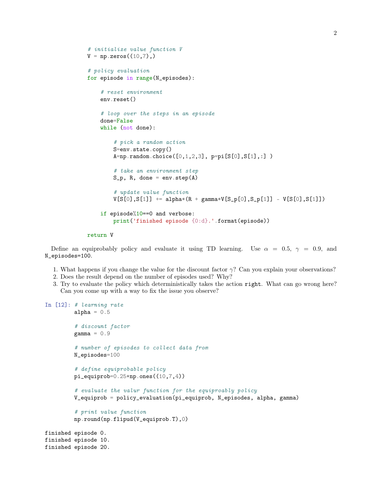```
# initialize value function V
V = np{\text{.}zeros}((10, 7), )# policy evaluation
for episode in range(N_episodes):
    # reset environment
    env.reset()
    # loop over the steps in an episode
    done=False
    while (not done):
        # pick a random action
        S=env.state.copy()
        A=np.randomોcode([0,1,2,3], pp=pi[S[0],S[1],:])# take an environment step
        S_p, R, done = env.step(A)# update value function
        V[S[0], S[1]] += alpha*(R + gamma*V[S_p[0], S_p[1]] - V[S[0], S[1]])
    if episode%10 == 0 and verbose:
        print('finished episode {0:d}.'.format(episode))
```
#### return V

Define an equiprobably policy and evaluate it using TD learning. Use  $\alpha = 0.5$ ,  $\gamma = 0.9$ , and N\_episodes=100.

- 1. What happens if you change the value for the discount factor  $\gamma$ ? Can you explain your observations?
- 2. Does the result depend on the number of episodes used? Why?
- 3. Try to evaluate the policy which deterministically takes the action right. What can go wrong here? Can you come up with a way to fix the issue you observe?

```
In [12]: # learning rate
         alpha = 0.5# discount factor
         gamma = 0.9# number of episodes to collect data from
         N_episodes=100
         # define equiprobable policy
         pi_equiprob=0.25*np.ones((10,7,4))
         # evaluate the valur function for the equiproably policy
         V_equiprob = policy_evaluation(pi_equiprob, N_episodes, alpha, gamma)
         # print value function
         np.round(np.flipud(V_equiprob.T),0)
finished episode 0.
finished episode 10.
finished episode 20.
```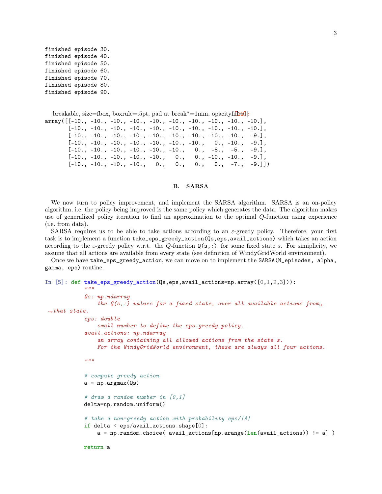```
finished episode 30.
finished episode 40.
finished episode 50.
finished episode 60.
finished episode 70.
finished episode 80.
finished episode 90.
```

```
[breakable, size=fbox, boxrule=.5pt, pad at break*=1mm, opacityfi\pi
```

```
array([[-10., -10., -10., -10., -10., -10., -10., -10., -10., -10.],
       [-10., -10., -10., -10., -10., -10., -10., -10., -10., -10.[-10., -10., -10., -10., -10., -10., -10., -10., -10., -9.],
      [-10., -10., -10., -10., -10., -10., -10., 0., -10., -9.],[-10., -10., -10., -10., -10., -10., -10., 0., -8., -5., -9.],[-10., -10., -10., -10., -10., -10., 0., -10., -10., -9.],[-10., -10., -10., -10., 0., 0., 0., 0., -7., -9.]]
```
## B. SARSA

We now turn to policy improvement, and implement the SARSA algorithm. SARSA is an on-policy algorithm, i.e. the policy being improved is the same policy which generates the data. The algorithm makes use of generalized policy iteration to find an approximation to the optimal Q-function using experience (i.e. from data).

SARSA requires us to be able to take actions according to an  $\varepsilon$ -greedy policy. Therefore, your first task is to implement a function take\_eps\_greedy\_action(Qs,eps,avail\_actions) which takes an action according to the  $\varepsilon$ -greedy policy w.r.t. the Q-function  $\mathbf{Q}(s,:)$  for some fixed state s. For simiplicity, we assume that all actions are available from every state (see definition of WindyGridWorld environment).

Once we have take\_eps\_greedy\_action, we can move on to implement the SARSA(N\_episodes, alpha, gamma, eps) routine.

```
In [5]: def take_eps_greedy_action(Qs,eps,avail_actions=np.array([0,1,2,3])):
```

```
Qs: np.ndarray
               the Q(s, :) values for a fixed state, over all available actions from
\rightarrowthat state.
           eps: double
               small number to define the eps-greedy policy.
           avail_actions: np.ndarray
               an array containing all allowed actions from the state s.
               For the WindyGridWorld environment, these are always all four actions.
           "''"# compute greedy action
           a = np.arange(Qs)# draw a random number in [0,1]
           delta=np.random.uniform()
           # take a non=greedy action with probability eps/|A|
           if delta \le eps/avail_actions.shape[0]:
               a = np.random choice( avail_actions[np.arange(len(avail_actions)) != a] )
```
 $"''"$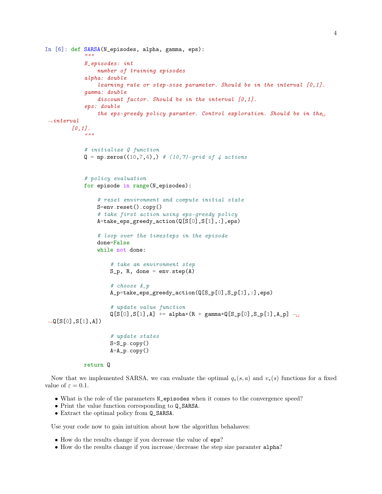```
In [6]: def SARSA(N_episodes, alpha, gamma, eps):
             "" "
            N_episodes: int
                 number of training episodes
            alpha: double
                 learning rate or step-size parameter. Should be in the interval [0,1].
            gamma: double
                 discount factor. Should be in the interval [0,1].
            eps: double
                 the eps-greedy policy paramter. Control exploration. Should be in the
 \rightarrowinterval
        [0,1].
             "''"# initialize Q function
            Q = np{\text{.zeros}}((10, 7, 4),) # (10,7)-grid of 4 actions
            # policy evaluation
            for episode in range(N_episodes):
                 # reset environment and compute initial state
                 S=env.reset().copy()
                 # take first action using eps-greedy policy
                 A=take_eps_greedy_action(Q[S[0],S[1],:],eps)
                 # loop over the timesteps in the episode
                 done=False
                 while not done:
                     # take an environment step
                     S_p, R, done = env.step(A)# choose A_p
                     A_p=take_eps_greedy_action(Q[S_p[0],S_p[1],:],eps)
                     # update value function
                     Q[S[0], S[1], A] += alpha*(R + gamma*Q[S_p[0],S_p[1],A_p] -\Box\rightarrow Q[S[0], S[1], A])# update states
                     S=S_p.copy()A=A_p \cdot copy()
```

```
return Q
```
Now that we implemented SARSA, we can evaluate the optimal  $q_*(s, a)$  and  $v_*(s)$  functions for a fixed value of  $\varepsilon = 0.1$ .

- What is the role of the parameters N\_episodes when it comes to the convergence speed?
- Print the value function corresponding to Q\_SARSA.
- Extract the optimal policy from  $Q$ \_SARSA.

Use your code now to gain intuition about how the algorithm behahaves:

- How do the results change if you decrease the value of eps?
- How do the results change if you increase/decrease the step size paramter alpha?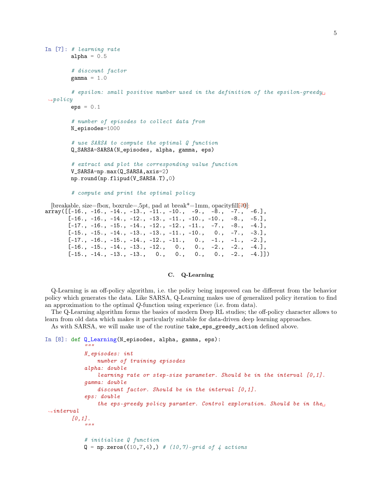```
In [7]: # learning rate
         alpha = 0.5# discount factor
         gamma = 1.0# epsilon: small positive number used in the definition of the epsilon-greedy
\rightarrowpolicy
         eps = 0.1# number of episodes to collect data from
         N_episodes=1000
         # use SARSA to compute the optimal Q function
         Q_SARSA=SARSA(N_episodes, alpha, gamma, eps)
         # extract and plot the corresponding value function
         V_SARSA=np.max(Q_SARSA,axis=2)
         np.round(np.flipud(V_SARSA.T),0)
         # compute and print the optimal policy
  [breakable, size=fbox, boxrule=.5pt, pad at break*=1mm, opacityfill[70]:<br>ray([[-16., -16., -14., -13., -11., -10., -9., -8., -7., -6.],
array([[-16., -16., -14., -13., -11., -10., -9., -8., -7., ]
```

```
[-16., -16., -14., -12., -13., -11., -10., -10., -8., -5.]
[-17., -16., -15., -14., -12., -12., -11., -7., -8., -4.],
[-15., -15., -14., -13., -13., -11., -10., 0., -7., -3.],[-17., -16., -15., -14., -12., -11., 0., -1., -1., -2.],<br>[-16., -15., -14., -13., -12., 0., 0., -2., -2., -4.],[-16., -15., -14., -13., -12., 0., 0., -2., -2., -4.],[-15, -14, -13, -13, 0, 0, 0, 0, -12, -4.]]
```
### C. Q-Learning

Q-Learning is an off-policy algorithm, i.e. the policy being improved can be different from the behavior policy which generates the data. Like SARSA, Q-Learning makes use of generalized policy iteration to find an approximation to the optimal Q-function using experience (i.e. from data).

The Q-Learning algorithm forms the basics of modern Deep RL studies; the off-policy character allows to learn from old data which makes it particularly suitable for data-driven deep learning approaches. As with SARSA, we will make use of the routine take\_eps\_greedy\_action defined above.

```
In [8]: def Q_Learning(N_episodes, alpha, gamma, eps):
             "" "
            N_episodes: int
                 number of training episodes
            alpha: double
                 learning rate or step-size parameter. Should be in the interval [0,1].
            gamma: double
                 discount factor. Should be in the interval [0,1].
            eps: double
                 the eps-greedy policy paramter. Control exploration. Should be in the\Box\rightarrowinterval
        [0,1].
             "''"# initialize Q function
            Q = np \cdot zeros((10, 7, 4),) # (10,7)-grid of 4 actions
```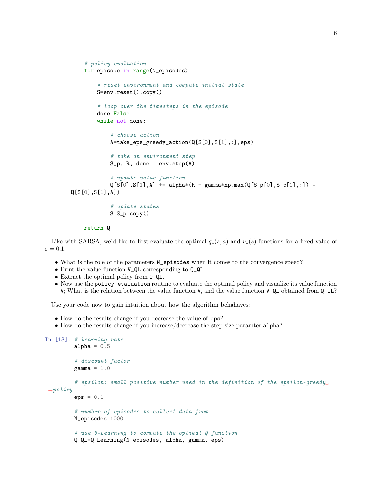```
# policy evaluation
    for episode in range(N_episodes):
        # reset environment and compute initial state
        S=env.reset().copy()
        # loop over the timesteps in the episode
        done=False
        while not done:
            # choose action
            A=take_eps_greedy_action(Q[S[0],S[1],:],eps)
            # take an environment step
            S_p, R, done = env.step(A)# update value function
            Q[S[0], S[1], A] += alpha*(R + gamma * np.max(Q[S_p[0], S_p[1], :]) -
Q[S[0],S[1],A])
            # update states
            S=S_p.copy()
```

```
return Q
```
Like with SARSA, we'd like to first evaluate the optimal  $q_*(s, a)$  and  $v_*(s)$  functions for a fixed value of  $\varepsilon = 0.1$ .

- What is the role of the parameters N\_episodes when it comes to the convergence speed?
- Print the value function V\_QL corresponding to Q\_QL.
- Extract the optimal policy from Q\_QL.
- Now use the policy\_evaluation routine to evaluate the optimal policy and visualize its value function V; What is the relation between the value function V, and the value function V\_QL obtained from Q\_QL?

Use your code now to gain intuition about how the algorithm behahaves:

- How do the results change if you decrease the value of eps?
- How do the results change if you increase/decrease the step size paramter alpha?

```
In [13]: # learning rate
         alpha = 0.5# discount factor
         gamma = 1.0# epsilon: small positive number used in the definition of the epsilon-greedy
 \rightarrowpolicy
         eps = 0.1# number of episodes to collect data from
         N_episodes=1000
         # use Q-Learning to compute the optimal Q function
         Q_QL=Q_Learning(N_episodes, alpha, gamma, eps)
```